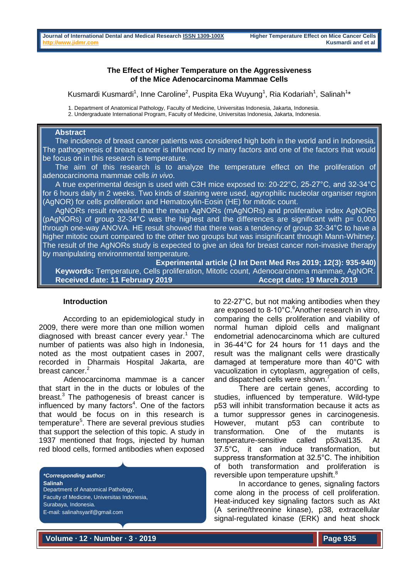#### **The Effect of Higher Temperature on the Aggressiveness of the Mice Adenocarcinoma Mammae Cells**

Kusmardi Kusmardi<sup>1</sup>, Inne Caroline<sup>2</sup>, Puspita Eka Wuyung<sup>1</sup>, Ria Kodariah<sup>1</sup>, Salinah<sup>1</sup>\*

1. Department of Anatomical Pathology, Faculty of Medicine, Universitas Indonesia, Jakarta, Indonesia.

2. Undergraduate International Program, Faculty of Medicine, Universitas Indonesia, Jakarta, Indonesia.

## **Abstract**

 The incidence of breast cancer patients was considered high both in the world and in Indonesia. The pathogenesis of breast cancer is influenced by many factors and one of the factors that would be focus on in this research is temperature.

 The aim of this research is to analyze the temperature effect on the proliferation of adenocarcinoma mammae cells *in vivo*.

 A true experimental design is used with C3H mice exposed to: 20-22°C, 25-27°C, and 32-34°C for 6 hours daily in 2 weeks. Two kinds of staining were used, agyrophilic nucleolar organiser region (AgNOR) for cells proliferation and Hematoxylin-Eosin (HE) for mitotic count.

 AgNORs result revealed that the mean AgNORs (mAgNORs) and proliferative index AgNORs (pAgNORs) of group 32-34°C was the highest and the differences are significant with  $p= 0,000$ through one-way ANOVA. HE result showed that there was a tendency of group 32-34°C to have a higher mitotic count compared to the other two groups but was insignificant through Mann-Whitney. The result of the AgNORs study is expected to give an idea for breast cancer non-invasive therapy by manipulating environmental temperature.

**Experimental article (J Int Dent Med Res 2019; 12(3): 935-940) Keywords:** Temperature, Cells proliferation, Mitotic count, Adenocarcinoma mammae, AgNOR. Received date: 11 February 2019 **Accept date: 19 March 2019 Received date: 19 March 2019** 

#### **Introduction**

According to an epidemiological study in 2009, there were more than one million women diagnosed with breast cancer every year.<sup>1</sup> The number of patients was also high in Indonesia, noted as the most outpatient cases in 2007, recorded in Dharmais Hospital Jakarta, are breast cancer.<sup>2</sup>

Adenocarcinoma mammae is a cancer that start in the in the ducts or lobules of the breast. $3$  The pathogenesis of breast cancer is influenced by many factors<sup>4</sup>. One of the factors that would be focus on in this research is temperature<sup>5</sup>. There are several previous studies that support the selection of this topic. A study in 1937 mentioned that frogs, injected by human red blood cells, formed antibodies when exposed

*\*Corresponding author:* **Salinah** Department of Anatomical Pathology, Faculty of Medicine, Universitas Indonesia, Surabaya, Indonesia. E-mail: salinahsyarif@gmail.com

to 22-27°C, but not making antibodies when they are exposed to  $8-10^{\circ}$ C.<sup>6</sup>Another research in vitro, comparing the cells proliferation and viability of normal human diploid cells and malignant endometrial adenocarcinoma which are cultured in 36-44°C for 24 hours for 11 days and the result was the malignant cells were drastically damaged at temperature more than 40°C with vacuolization in cytoplasm, aggregation of cells, and dispatched cells were shown.<sup>7</sup>

There are certain genes, according to studies, influenced by temperature. Wild-type p53 will inhibit transformation because it acts as a tumor suppressor genes in carcinogenesis. However, mutant p53 can contribute to transformation. One of the mutants is temperature-sensitive called p53val135. At 37.5°C, it can induce transformation, but suppress transformation at 32.5°C. The inhibition of both transformation and proliferation is reversible upon temperature upshift.<sup>8</sup>

In accordance to genes, signaling factors come along in the process of cell proliferation. Heat-induced key signaling factors such as Akt (A serine/threonine kinase), p38, extracellular signal-regulated kinase (ERK) and heat shock

**Volume ∙ 12 ∙ Number ∙ 3 ∙ 2019**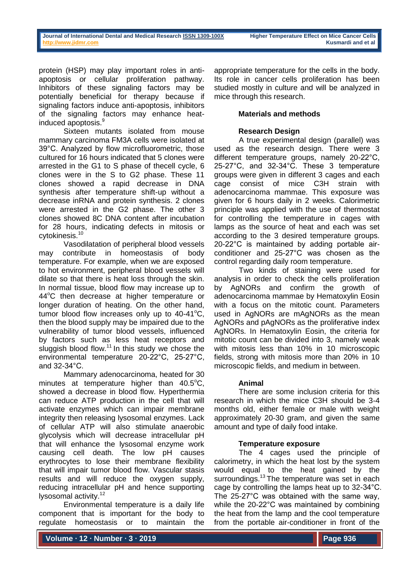protein (HSP) may play important roles in antiapoptosis or cellular proliferation pathway. Inhibitors of these signaling factors may be potentially beneficial for therapy because if signaling factors induce anti-apoptosis, inhibitors of the signaling factors may enhance heatinduced apoptosis.<sup>9</sup>

Sixteen mutants isolated from mouse mammary carcinoma FM3A cells were isolated at 39°C. Analyzed by flow microfluorometric, those cultured for 16 hours indicated that 5 clones were arrested in the G1 to S phase of thecell cycle, 6 clones were in the S to G2 phase. These 11 clones showed a rapid decrease in DNA synthesis after temperature shift-up without a decrease inRNA and protein synthesis. 2 clones were arrested in the G2 phase. The other 3 clones showed 8C DNA content after incubation for 28 hours, indicating defects in mitosis or cytokinesis.<sup>10</sup>

Vasodilatation of peripheral blood vessels may contribute in homeostasis of body temperature. For example, when we are exposed to hot environment, peripheral blood vessels will dilate so that there is heat loss through the skin. In normal tissue, blood flow may increase up to 44<sup>o</sup>C then decrease at higher temperature or longer duration of heating. On the other hand, tumor blood flow increases only up to  $40-41^{\circ}C$ . then the blood supply may be impaired due to the vulnerability of tumor blood vessels, influenced by factors such as less heat receptors and sluggish blood flow.<sup>11</sup> In this study we chose the environmental temperature 20-22°C, 25-27°C, and 32-34°C.

Mammary adenocarcinoma, heated for 30 minutes at temperature higher than  $40.5^{\circ}C$ , showed a decrease in blood flow. Hyperthermia can reduce ATP production in the cell that will activate enzymes which can impair membrane integrity then releasing lysosomal enzymes. Lack of cellular ATP will also stimulate anaerobic glycolysis which will decrease intracellular pH that will enhance the lysosomal enzyme work causing cell death. The low pH causes erythrocytes to lose their membrane flexibility that will impair tumor blood flow. Vascular stasis results and will reduce the oxygen supply, reducing intracellular pH and hence supporting lysosomal activity.<sup>12</sup>

Environmental temperature is a daily life component that is important for the body to regulate homeostasis or to maintain the

appropriate temperature for the cells in the body. Its role in cancer cells proliferation has been studied mostly in culture and will be analyzed in mice through this research.

# **Materials and methods**

# **Research Design**

A true experimental design (parallel) was used as the research design. There were 3 different temperature groups, namely 20-22°C, 25-27°C, and 32-34°C. These 3 temperature groups were given in different 3 cages and each cage consist of mice C3H strain with adenocarcinoma mammae. This exposure was given for 6 hours daily in 2 weeks. Calorimetric principle was applied with the use of thermostat for controlling the temperature in cages with lamps as the source of heat and each was set according to the 3 desired temperature groups. 20-22°C is maintained by adding portable airconditioner and 25-27°C was chosen as the control regarding daily room temperature.

Two kinds of staining were used for analysis in order to check the cells proliferation by AgNORs and confirm the growth of adenocarcinoma mammae by Hematoxylin Eosin with a focus on the mitotic count. Parameters used in AgNORs are mAgNORs as the mean AgNORs and pAgNORs as the proliferative index AgNORs. In Hematoxylin Eosin, the criteria for mitotic count can be divided into 3, namely weak with mitosis less than 10% in 10 microscopic fields, strong with mitosis more than 20% in 10 microscopic fields, and medium in between.

### **Animal**

There are some inclusion criteria for this research in which the mice C3H should be 3-4 months old, either female or male with weight approximately 20-30 gram, and given the same amount and type of daily food intake.

# **Temperature exposure**

The 4 cages used the principle of calorimetry, in which the heat lost by the system would equal to the heat gained by the surroundings.<sup>13</sup> The temperature was set in each cage by controlling the lamps heat up to 32-34°C. The 25-27°C was obtained with the same way, while the 20-22°C was maintained by combining the heat from the lamp and the cool temperature from the portable air-conditioner in front of the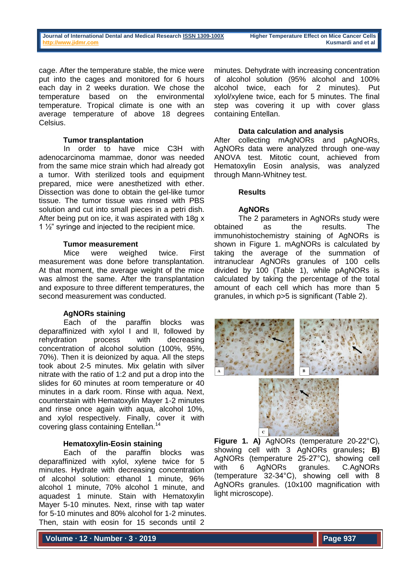cage. After the temperature stable, the mice were put into the cages and monitored for 6 hours each day in 2 weeks duration. We chose the temperature based on the environmental temperature. Tropical climate is one with an average temperature of above 18 degrees Celsius.

#### **Tumor transplantation**

In order to have mice C3H with adenocarcinoma mammae, donor was needed from the same mice strain which had already got a tumor. With sterilized tools and equipment prepared, mice were anesthetized with ether. Dissection was done to obtain the gel-like tumor tissue. The tumor tissue was rinsed with PBS solution and cut into small pieces in a petri dish. After being put on ice, it was aspirated with 18g x 1  $\frac{1}{2}$ " syringe and injected to the recipient mice.

### **Tumor measurement**

Mice were weighed twice. First measurement was done before transplantation. At that moment, the average weight of the mice was almost the same. After the transplantation and exposure to three different temperatures, the second measurement was conducted.

### **AgNORs staining**

Each of the paraffin blocks was deparaffinized with xylol I and II, followed by rehydration process with decreasing concentration of alcohol solution (100%, 95%, 70%). Then it is deionized by aqua. All the steps took about 2-5 minutes. Mix gelatin with silver nitrate with the ratio of 1:2 and put a drop into the slides for 60 minutes at room temperature or 40 minutes in a dark room. Rinse with aqua. Next, counterstain with Hematoxylin Mayer 1-2 minutes and rinse once again with aqua, alcohol 10%, and xylol respectively. Finally, cover it with covering glass containing Entellan.<sup>14</sup>

### **Hematoxylin-Eosin staining**

Each of the paraffin blocks was deparaffinized with xylol, xylene twice for 5 minutes. Hydrate with decreasing concentration of alcohol solution: ethanol 1 minute, 96% alcohol 1 minute, 70% alcohol 1 minute, and aquadest 1 minute. Stain with Hematoxylin Mayer 5-10 minutes. Next, rinse with tap water for 5-10 minutes and 80% alcohol for 1-2 minutes. Then, stain with eosin for 15 seconds until 2

minutes. Dehydrate with increasing concentration of alcohol solution (95% alcohol and 100% alcohol twice, each for 2 minutes). Put xylol/xylene twice, each for 5 minutes. The final step was covering it up with cover glass containing Entellan.

## **Data calculation and analysis**

After collecting mAgNORs and pAgNORs, AgNORs data were analyzed through one-way ANOVA test. Mitotic count, achieved from Hematoxylin Eosin analysis, was analyzed through Mann-Whitney test.

### **Results**

# **AgNORs**

The 2 parameters in AgNORs study were obtained as the results. The immunohistochemistry staining of AgNORs is shown in Figure 1. mAgNORs is calculated by taking the average of the summation of intranuclear AgNORs granules of 100 cells divided by 100 (Table 1), while pAgNORs is calculated by taking the percentage of the total amount of each cell which has more than 5 granules, in which p>5 is significant (Table 2).



**Figure 1. A)** AgNORs (temperature 20-22°C), showing cell with 3 AgNORs granules**; B)** AgNORs (temperature 25-27°C), showing cell with 6 AgNORs granules. C.AgNORs (temperature 32-34°C), showing cell with 8 AgNORs granules. (10x100 magnification with light microscope).

**Volume ∙ 12 ∙ Number ∙ 3 ∙ 2019**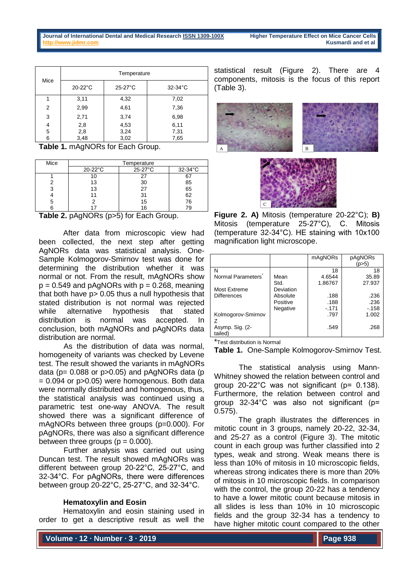| Mice   | Temperature                                     |                              |              |  |
|--------|-------------------------------------------------|------------------------------|--------------|--|
|        | $20-22$ °C                                      | $25-27^{\circ}$ C            | $32-34$ °C   |  |
|        | 3,11                                            | 4,32                         | 7,02         |  |
| 2      | 2,99                                            | 4,61                         | 7,36         |  |
| 3      | 2,71                                            | 3,74                         | 6,98         |  |
| 4<br>5 | 2,8<br>2,8                                      | 4,53<br>3,24                 | 6,11<br>7,31 |  |
| 6<br>. | 3,48<br>$\lambda$ $\lambda$ $\lambda$ $\lambda$ | 3,02<br>$\sim$ $\sim$ $\sim$ | 7,65         |  |

**Table 1.** mAgNORs for Each Group.

| Mice | Temperature       |         |            |  |  |
|------|-------------------|---------|------------|--|--|
|      | $20-22^{\circ}$ C | 25-27°C | $32-34$ °C |  |  |
|      |                   | 27      | 67         |  |  |
|      | 13                | 30      | 85         |  |  |
|      | 13                | 27      | 65         |  |  |
|      |                   | 31      | 62         |  |  |
|      |                   | 15      | 76         |  |  |
|      |                   | ۱ĥ      |            |  |  |

**Table 2.** pAgNORs (p>5) for Each Group.

After data from microscopic view had been collected, the next step after getting AgNORs data was statistical analysis. One-Sample Kolmogorov-Smirnov test was done for determining the distribution whether it was normal or not. From the result, mAgNORs show  $p = 0.549$  and pAgNORs with  $p = 0.268$ , meaning that both have p> 0.05 thus a null hypothesis that stated distribution is not normal was rejected while alternative hypothesis that stated distribution is normal was accepted. In conclusion, both mAgNORs and pAgNORs data distribution are normal.

As the distribution of data was normal, homogeneity of variants was checked by Levene test. The result showed the variants in mAgNORs data ( $p= 0.088$  or  $p > 0.05$ ) and  $pAqNORs$  data ( $pA$  $= 0.094$  or  $p > 0.05$ ) were homogenous. Both data were normally distributed and homogenous, thus, the statistical analysis was continued using a parametric test one-way ANOVA. The result showed there was a significant difference of mAgNORs between three groups (p=0.000). For pAgNORs, there was also a significant difference between three groups  $(p = 0.000)$ .

Further analysis was carried out using Duncan test. The result showed mAgNORs was different between group 20-22°C, 25-27°C, and 32-34°C. For pAgNORs, there were differences between group 20-22°C, 25-27°C, and 32-34°C.

### **Hematoxylin and Eosin**

Hematoxylin and eosin staining used in order to get a descriptive result as well the

statistical result (Figure 2). There are components, mitosis is the focus of this report (Table 3).





**Figure 2. A)** Mitosis (temperature 20-22°C); **B)** Mitosis (temperature 25-27°C), C. Mitosis (temperature 32-34°C). HE staining with 10x100 magnification light microscope.

|                                |           | mAgNORs | pAgNORs |
|--------------------------------|-----------|---------|---------|
|                                |           |         | (p>5)   |
| N                              |           | 18      | 18      |
| Normal Parameters <sup>®</sup> | Mean      | 4.6544  | 35.89   |
|                                | Std.      | 1.86767 | 27.937  |
| Most Extreme                   | Deviation |         |         |
| <b>Differences</b>             | Absolute  | .188    | .236    |
|                                | Positive  | .188    | .236    |
|                                | Negative  | $-171$  | $-158$  |
| Kolmogorov-Smirnov             |           | .797    | 1.002   |
|                                |           |         |         |
| Asymp. Sig. (2-                |           | .549    | .268    |
| tailed)                        |           |         |         |

\*Test distribution is Normal

**Table 1.** One-Sample Kolmogorov-Smirnov Test.

The statistical analysis using Mann-Whitney showed the relation between control and group 20-22°C was not significant (p= 0.138). Furthermore, the relation between control and group 32-34°C was also not significant (p= 0.575).

The graph illustrates the differences in mitotic count in 3 groups, namely 20-22, 32-34, and 25-27 as a control (Figure 3). The mitotic count in each group was further classified into 2 types, weak and strong. Weak means there is less than 10% of mitosis in 10 microscopic fields, whereas strong indicates there is more than 20% of mitosis in 10 microscopic fields. In comparison with the control, the group 20-22 has a tendency to have a lower mitotic count because mitosis in all slides is less than 10% in 10 microscopic fields and the group 32-34 has a tendency to have higher mitotic count compared to the other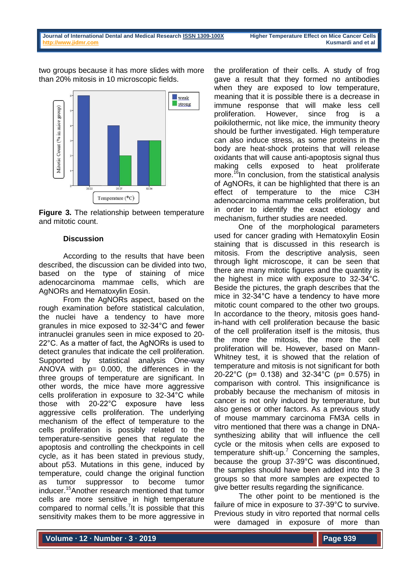two groups because it has more slides with more than 20% mitosis in 10 microscopic fields.



**Figure 3.** The relationship between temperature and mitotic count.

### **Discussion**

According to the results that have been described, the discussion can be divided into two, based on the type of staining of mice adenocarcinoma mammae cells, which are AgNORs and Hematoxylin Eosin.

From the AgNORs aspect, based on the rough examination before statistical calculation, the nuclei have a tendency to have more granules in mice exposed to 32-34°C and fewer intranuclei granules seen in mice exposed to 20- 22°C. As a matter of fact, the AgNORs is used to detect granules that indicate the cell proliferation. Supported by statistical analysis One-way ANOVA with  $p= 0.000$ , the differences in the three groups of temperature are significant. In other words, the mice have more aggressive cells proliferation in exposure to 32-34°C while those with 20-22°C exposure have less aggressive cells proliferation. The underlying mechanism of the effect of temperature to the cells proliferation is possibly related to the temperature-sensitive genes that regulate the apoptosis and controlling the checkpoints in cell cycle, as it has been stated in previous study, about p53. Mutations in this gene, induced by temperature, could change the original function as tumor suppressor to become tumor inducer.<sup>15</sup>Another research mentioned that tumor cells are more sensitive in high temperature compared to normal cells.<sup>7</sup>It is possible that this sensitivity makes them to be more aggressive in

the proliferation of their cells. A study of frog gave a result that they formed no antibodies when they are exposed to low temperature, meaning that it is possible there is a decrease in immune response that will make less cell proliferation. However, since frog is a poikilothermic, not like mice, the immunity theory should be further investigated. High temperature can also induce stress, as some proteins in the body are heat-shock proteins that will release oxidants that will cause anti-apoptosis signal thus making cells exposed to heat proliferate more.<sup>16</sup>In conclusion, from the statistical analysis of AgNORs, it can be highlighted that there is an effect of temperature to the mice C3H adenocarcinoma mammae cells proliferation, but in order to identify the exact etiology and mechanism, further studies are needed.

One of the morphological parameters used for cancer grading with Hematoxylin Eosin staining that is discussed in this research is mitosis. From the descriptive analysis, seen through light microscope, it can be seen that there are many mitotic figures and the quantity is the highest in mice with exposure to 32-34°C. Beside the pictures, the graph describes that the mice in 32-34°C have a tendency to have more mitotic count compared to the other two groups. In accordance to the theory, mitosis goes handin-hand with cell proliferation because the basic of the cell proliferation itself is the mitosis, thus the more the mitosis, the more the cell proliferation will be. However, based on Mann-Whitney test, it is showed that the relation of temperature and mitosis is not significant for both 20-22°C (p= 0.138) and 32-34°C (p= 0.575) in comparison with control. This insignificance is probably because the mechanism of mitosis in cancer is not only induced by temperature, but also genes or other factors. As a previous study of mouse mammary carcinoma FM3A cells in vitro mentioned that there was a change in DNAsynthesizing ability that will influence the cell cycle or the mitosis when cells are exposed to temperature shift-up.<sup>7</sup> Concerning the samples, because the group 37-39°C was discontinued, the samples should have been added into the 3 groups so that more samples are expected to give better results regarding the significance.

The other point to be mentioned is the failure of mice in exposure to 37-39°C to survive. Previous study in vitro reported that normal cells were damaged in exposure of more than